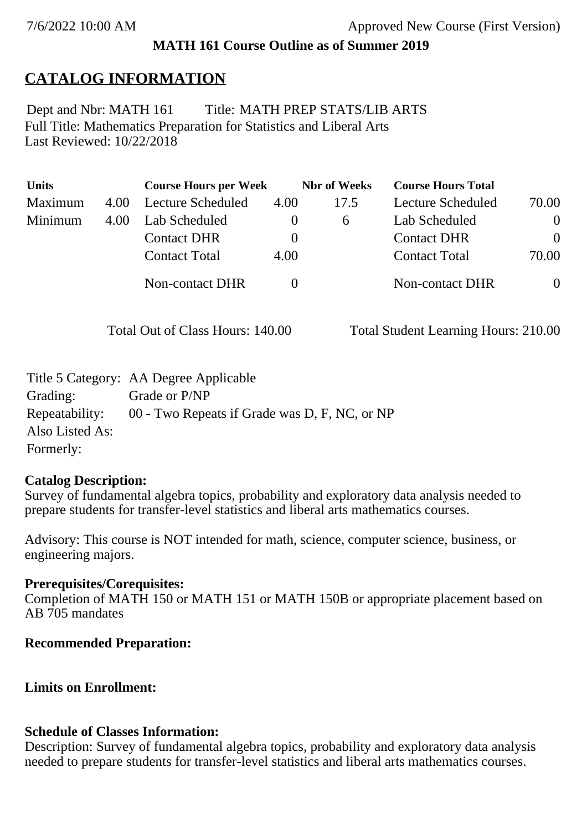#### **MATH 161 Course Outline as of Summer 2019**

## **CATALOG INFORMATION**

Full Title: Mathematics Preparation for Statistics and Liberal Arts Last Reviewed: 10/22/2018 Dept and Nbr: MATH 161 Title: MATH PREP STATS/LIB ARTS

| <b>Units</b> |      | <b>Course Hours per Week</b> |              | <b>Nbr</b> of Weeks | <b>Course Hours Total</b> |                |
|--------------|------|------------------------------|--------------|---------------------|---------------------------|----------------|
| Maximum      | 4.00 | <b>Lecture Scheduled</b>     | 4.00         | 17.5                | Lecture Scheduled         | 70.00          |
| Minimum      | 4.00 | Lab Scheduled                | $\mathbf{0}$ | $\sigma$            | Lab Scheduled             | $\overline{0}$ |
|              |      | <b>Contact DHR</b>           | $\theta$     |                     | <b>Contact DHR</b>        | $\Omega$       |
|              |      | <b>Contact Total</b>         | 4.00         |                     | <b>Contact Total</b>      | 70.00          |
|              |      | Non-contact DHR              |              |                     | <b>Non-contact DHR</b>    | $\overline{0}$ |

Total Out of Class Hours: 140.00 Total Student Learning Hours: 210.00

|                 | Title 5 Category: AA Degree Applicable        |
|-----------------|-----------------------------------------------|
| Grading:        | Grade or P/NP                                 |
| Repeatability:  | 00 - Two Repeats if Grade was D, F, NC, or NP |
| Also Listed As: |                                               |
| Formerly:       |                                               |

#### **Catalog Description:**

Survey of fundamental algebra topics, probability and exploratory data analysis needed to prepare students for transfer-level statistics and liberal arts mathematics courses.

Advisory: This course is NOT intended for math, science, computer science, business, or engineering majors.

#### **Prerequisites/Corequisites:**

Completion of MATH 150 or MATH 151 or MATH 150B or appropriate placement based on AB 705 mandates

#### **Recommended Preparation:**

#### **Limits on Enrollment:**

#### **Schedule of Classes Information:**

Description: Survey of fundamental algebra topics, probability and exploratory data analysis needed to prepare students for transfer-level statistics and liberal arts mathematics courses.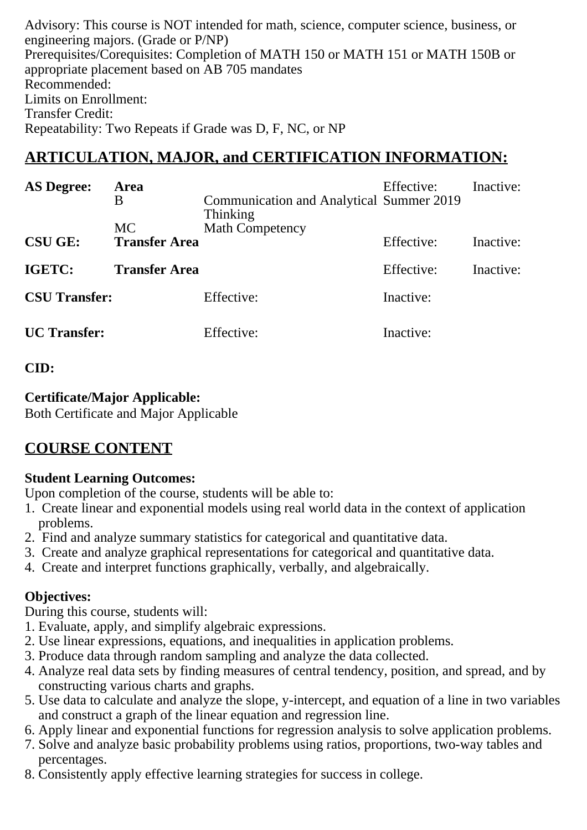Advisory: This course is NOT intended for math, science, computer science, business, or engineering majors. (Grade or P/NP) Prerequisites/Corequisites: Completion of MATH 150 or MATH 151 or MATH 150B or appropriate placement based on AB 705 mandates Recommended: Limits on Enrollment: Transfer Credit: Repeatability: Two Repeats if Grade was D, F, NC, or NP

## **ARTICULATION, MAJOR, and CERTIFICATION INFORMATION:**

| <b>AS Degree:</b>    | <b>Area</b><br>B                  | Communication and Analytical Summer 2019<br>Thinking | Effective: | Inactive: |
|----------------------|-----------------------------------|------------------------------------------------------|------------|-----------|
| <b>CSU GE:</b>       | <b>MC</b><br><b>Transfer Area</b> | <b>Math Competency</b>                               | Effective: | Inactive: |
| IGETC:               | <b>Transfer Area</b>              |                                                      | Effective: | Inactive: |
| <b>CSU Transfer:</b> |                                   | Effective:                                           | Inactive:  |           |
| <b>UC</b> Transfer:  |                                   | Effective:                                           | Inactive:  |           |

## **CID:**

## **Certificate/Major Applicable:**

[Both Certificate and Major Applicable](SR_ClassCheck.aspx?CourseKey=MATH161)

# **COURSE CONTENT**

## **Student Learning Outcomes:**

Upon completion of the course, students will be able to:

- 1. Create linear and exponential models using real world data in the context of application problems.
- 2. Find and analyze summary statistics for categorical and quantitative data.
- 3. Create and analyze graphical representations for categorical and quantitative data.
- 4. Create and interpret functions graphically, verbally, and algebraically.

## **Objectives:**

During this course, students will:

- 1. Evaluate, apply, and simplify algebraic expressions.
- 2. Use linear expressions, equations, and inequalities in application problems.
- 3. Produce data through random sampling and analyze the data collected.
- 4. Analyze real data sets by finding measures of central tendency, position, and spread, and by constructing various charts and graphs.
- 5. Use data to calculate and analyze the slope, y-intercept, and equation of a line in two variables and construct a graph of the linear equation and regression line.
- 6. Apply linear and exponential functions for regression analysis to solve application problems.
- 7. Solve and analyze basic probability problems using ratios, proportions, two-way tables and percentages.
- 8. Consistently apply effective learning strategies for success in college.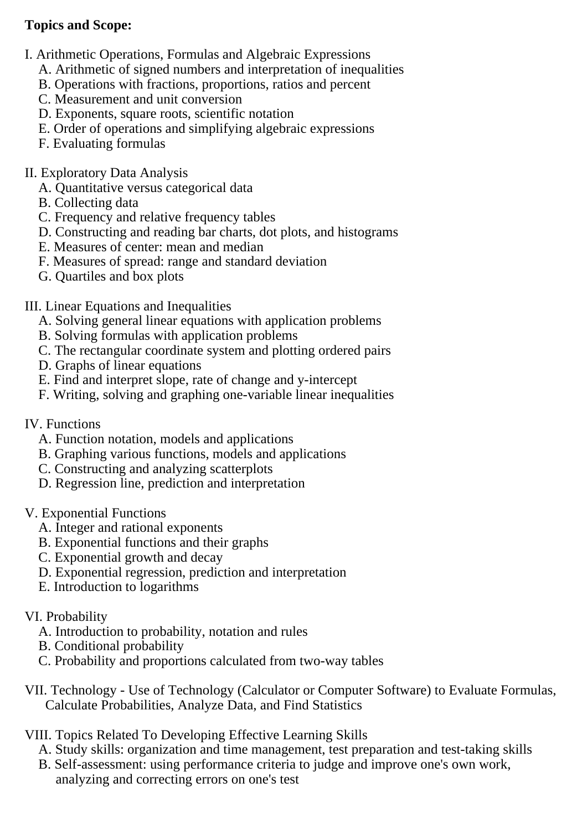## **Topics and Scope:**

- I. Arithmetic Operations, Formulas and Algebraic Expressions
	- A. Arithmetic of signed numbers and interpretation of inequalities
	- B. Operations with fractions, proportions, ratios and percent
	- C. Measurement and unit conversion
	- D. Exponents, square roots, scientific notation
	- E. Order of operations and simplifying algebraic expressions
	- F. Evaluating formulas

### II. Exploratory Data Analysis

- A. Quantitative versus categorical data
- B. Collecting data
- C. Frequency and relative frequency tables
- D. Constructing and reading bar charts, dot plots, and histograms
- E. Measures of center: mean and median
- F. Measures of spread: range and standard deviation
- G. Quartiles and box plots

III. Linear Equations and Inequalities

- A. Solving general linear equations with application problems
- B. Solving formulas with application problems
- C. The rectangular coordinate system and plotting ordered pairs
- D. Graphs of linear equations
- E. Find and interpret slope, rate of change and y-intercept
- F. Writing, solving and graphing one-variable linear inequalities
- IV. Functions
	- A. Function notation, models and applications
	- B. Graphing various functions, models and applications
	- C. Constructing and analyzing scatterplots
	- D. Regression line, prediction and interpretation

#### V. Exponential Functions

- A. Integer and rational exponents
- B. Exponential functions and their graphs
- C. Exponential growth and decay
- D. Exponential regression, prediction and interpretation
- E. Introduction to logarithms

#### VI. Probability

- A. Introduction to probability, notation and rules
- B. Conditional probability
- C. Probability and proportions calculated from two-way tables
- VII. Technology Use of Technology (Calculator or Computer Software) to Evaluate Formulas, Calculate Probabilities, Analyze Data, and Find Statistics
- VIII. Topics Related To Developing Effective Learning Skills
	- A. Study skills: organization and time management, test preparation and test-taking skills
	- B. Self-assessment: using performance criteria to judge and improve one's own work, analyzing and correcting errors on one's test